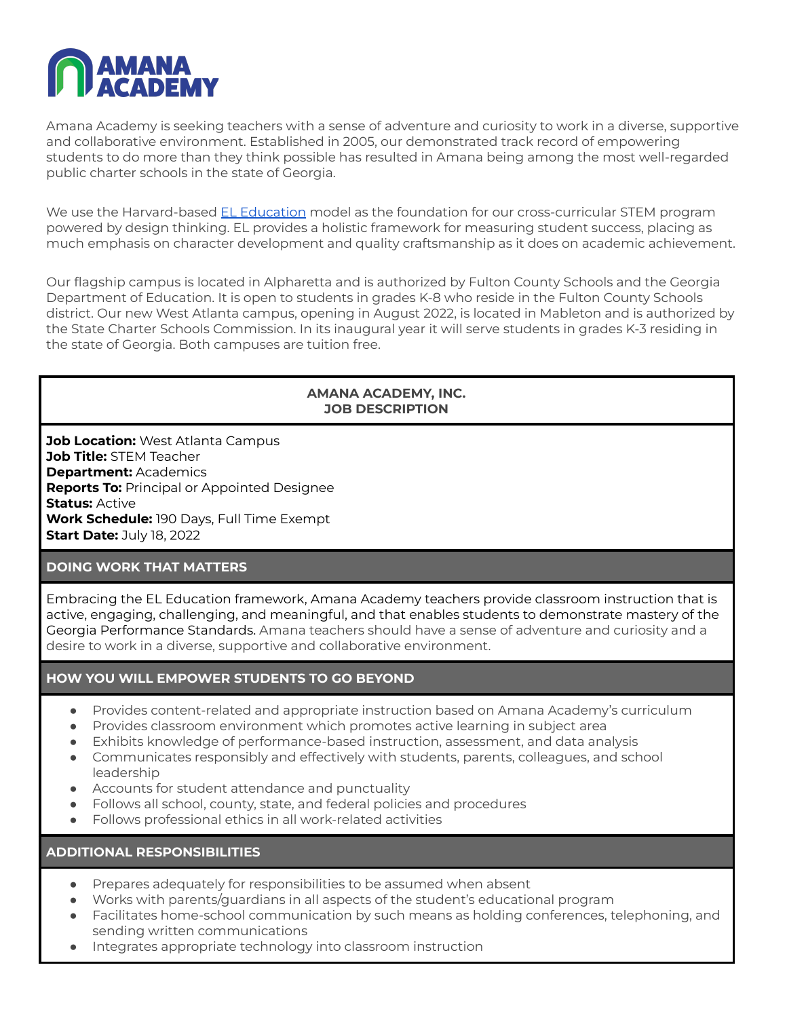

Amana Academy is seeking teachers with a sense of adventure and curiosity to work in a diverse, supportive and collaborative environment. Established in 2005, our demonstrated track record of empowering students to do more than they think possible has resulted in Amana being among the most well-regarded public charter schools in the state of Georgia.

We use the Harvard-based EL [Education](https://eleducation.org/) model as the foundation for our cross-curricular STEM program powered by design thinking. EL provides a holistic framework for measuring student success, placing as much emphasis on character development and quality craftsmanship as it does on academic achievement.

Our flagship campus is located in Alpharetta and is authorized by Fulton County Schools and the Georgia Department of Education. It is open to students in grades K-8 who reside in the Fulton County Schools district. Our new West Atlanta campus, opening in August 2022, is located in Mableton and is authorized by the State Charter Schools Commission. In its inaugural year it will serve students in grades K-3 residing in the state of Georgia. Both campuses are tuition free.

### **AMANA ACADEMY, INC. JOB DESCRIPTION**

**Job Location:** West Atlanta Campus **Job Title:** STEM Teacher **Department:** Academics **Reports To:** Principal or Appointed Designee **Status:** Active **Work Schedule:** 190 Days, Full Time Exempt **Start Date:** July 18, 2022

### **DOING WORK THAT MATTERS**

Embracing the EL Education framework, Amana Academy teachers provide classroom instruction that is active, engaging, challenging, and meaningful, and that enables students to demonstrate mastery of the Georgia Performance Standards. Amana teachers should have a sense of adventure and curiosity and a desire to work in a diverse, supportive and collaborative environment.

# **HOW YOU WILL EMPOWER STUDENTS TO GO BEYOND**

- Provides content-related and appropriate instruction based on Amana Academy's curriculum
- Provides classroom environment which promotes active learning in subject area
- Exhibits knowledge of performance-based instruction, assessment, and data analysis
- Communicates responsibly and effectively with students, parents, colleagues, and school leadership
- Accounts for student attendance and punctuality
- Follows all school, county, state, and federal policies and procedures
- Follows professional ethics in all work-related activities

**ADDITIONAL RESPONSIBILITIES**

- Prepares adequately for responsibilities to be assumed when absent
- Works with parents/guardians in all aspects of the student's educational program
- Facilitates home-school communication by such means as holding conferences, telephoning, and sending written communications
- Integrates appropriate technology into classroom instruction